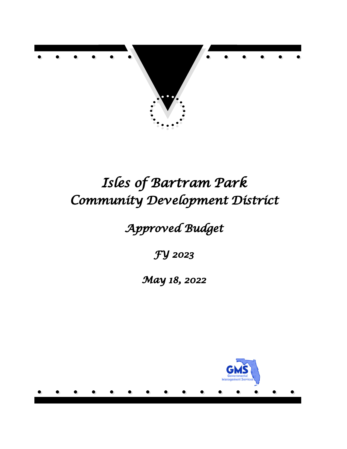

# *Isles of Bartram Park Community Development District*

*Approved Budget*

*FY 2023*

*May 18, 2022*

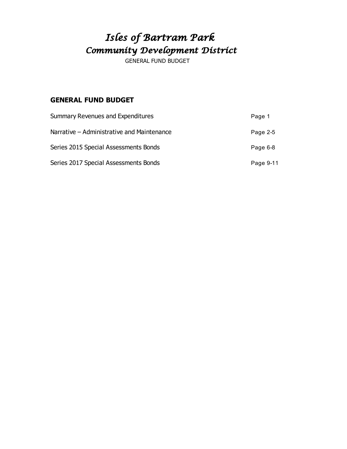# *Isles of Bartram Park Community Development District*

GENERAL FUND BUDGET

### **GENERAL FUND BUDGET**

| <b>Summary Revenues and Expenditures</b>   | Page 1    |
|--------------------------------------------|-----------|
| Narrative - Administrative and Maintenance | Page 2-5  |
| Series 2015 Special Assessments Bonds      | Page 6-8  |
| Series 2017 Special Assessments Bonds      | Page 9-11 |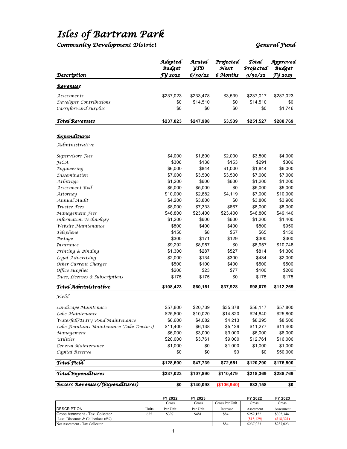# *Isles of Bartram Park*

#### *Community Development District General Fund*

|                                           | Adopted<br><b>Budget</b> | Acutal<br>УTД | Projected<br>$\mathcal{N}$ ext | Total<br>Projected | Approved<br><b>Budget</b> |
|-------------------------------------------|--------------------------|---------------|--------------------------------|--------------------|---------------------------|
| Descríptíon                               | FY 2022                  | 6/30/22       | 6 Months                       | 9/30/22            | FY 2023                   |
| <u>Revenue</u> s                          |                          |               |                                |                    |                           |
| Assessments                               | \$237,023                | \$233,478     | \$3,539                        | \$237,017          | \$287,023                 |
| Developer Contributions                   | \$0                      | \$14,510      | \$0                            | \$14,510           | \$0                       |
| Carryforward Surplus                      | \$0                      | \$0           | \$0                            | \$0                | \$1,746                   |
| <b>Total Revenues</b>                     | \$237,023                | \$247,988     | \$3,539                        | \$251,527          | \$288,769                 |
| <b>Expenditures</b>                       |                          |               |                                |                    |                           |
| Administrative                            |                          |               |                                |                    |                           |
|                                           |                          |               |                                |                    |                           |
| Supervisors Fees                          | \$4,000                  | \$1,800       | \$2,000                        | \$3,800            | \$4,000                   |
| <b>FICA</b>                               | \$306                    | \$138         | \$153                          | \$291              | \$306                     |
| <b>Engineering</b>                        | \$6,000                  | \$844         | \$1,000                        | \$1,844            | \$6,000                   |
| Dissemination                             | \$7,000                  | \$3,500       | \$3,500                        | \$7,000            | \$7,000                   |
| Arbitrage                                 | \$1,200                  | \$600         | \$600                          | \$1,200            | \$1,200                   |
| Assessment Roll                           | \$5,000                  | \$5,000       | \$0                            | \$5,000            | \$5,000                   |
| Attorney                                  | \$10,000                 | \$2,882       | \$4,119                        | \$7,000            | \$10,000                  |
| Annual Audit                              | \$4,200                  | \$3,800       | \$0                            | \$3,800            | \$3,900                   |
| Trustee Fees                              | \$8,000                  | \$7,333       | \$667                          | \$8,000            | \$8,000                   |
| Management Fees                           | \$46,800                 | \$23,400      | \$23,400                       | \$46,800           | \$49,140                  |
| Information Technology                    | \$1,200                  | \$600         | \$600                          | \$1,200            | \$1,400                   |
| Website Maintenance                       | \$800                    | \$400         | \$400                          | \$800              | \$950                     |
| Telephone                                 | \$150                    | \$8           | \$57                           | \$65               | \$150                     |
| Postage                                   | \$300                    | \$171         | \$129                          | \$300              | \$300                     |
| Insurance                                 | \$9,292                  | \$8,957       | \$0                            | \$8,957            | \$10,748                  |
| Printing & Binding                        | \$1,300                  | \$287         | \$527                          | \$814              | \$1,300                   |
| Legal Advertising                         | \$2,000                  | \$134         | \$300                          | \$434              | \$2,000                   |
| Other Current Charges                     | \$500                    | \$100         | \$400                          | \$500              | \$500                     |
| Office Supplies                           | \$200                    | \$23          | \$77                           | \$100              | \$200                     |
| Dues, Licenses & Subscriptions            | \$175                    | \$175         | \$0                            | \$175              | \$175                     |
| Total Administrative                      | \$108,423                | \$60,151      | \$37,928                       | \$98,079           | \$112,269                 |
| Field                                     |                          |               |                                |                    |                           |
| Landscape Maintenace                      | \$57,800                 | \$20,739      | \$35,378                       | \$56,117           | \$57,800                  |
| Lake Maintenance                          | \$25,800                 | \$10,020      | \$14,820                       | \$24,840           | \$25,800                  |
| Waterfall/Entry Pond Maintenance          | \$6,600                  | \$4,082       | \$4,213                        | \$8,295            | \$8,500                   |
| Lake Fountains Maintenance (Lake Doctors) | \$11,400                 | \$6,138       | \$5,139                        | \$11,277           | \$11,400                  |
| Management                                | \$6,000                  | \$3,000       | \$3,000                        | \$6,000            | \$6,000                   |
| Utilities                                 | \$20,000                 | \$3,761       | \$9,000                        | \$12,761           | \$16,000                  |
| General Maintenance                       | \$1,000                  | \$0           | \$1,000                        | \$1,000            | \$1,000                   |
| Capital Reserve                           | \$0                      | \$0           | \$0                            | \$0                | \$50,000                  |
| Total Field                               | \$128,600                | \$47,739      | \$72,551                       | \$120,290          | \$176,500                 |
| Total Expenditures                        | \$237,023                | \$107,890     | \$110,479                      | \$218,369          | \$288,769                 |
| Excess Revenues/(Expenditures)            | \$0                      | \$140,098     | (\$106,940)                    | \$33,158           | \$0                       |

|                                      |       | FY 2022  | FY 2023  |                | FY 2022    | FY 2023    |
|--------------------------------------|-------|----------|----------|----------------|------------|------------|
|                                      |       | Gross    | Gross    | Gross Per Unit | Gross      | Gross      |
| <b>IDESCRIPTION</b>                  | Units | Per Unit | Per Unit | Increase       | Assesment  | Assesment  |
| Gross Assement - Tax Collector       | 635   | \$397    | \$481    | \$84           | \$252,152  | \$305,344  |
| Less: Discounts & Collections $(6%)$ |       |          |          |                | (S15, 129) | (\$18,321) |
| Net Assesment - Tax Collector        |       |          |          | \$84           | \$237,023  | \$287,023  |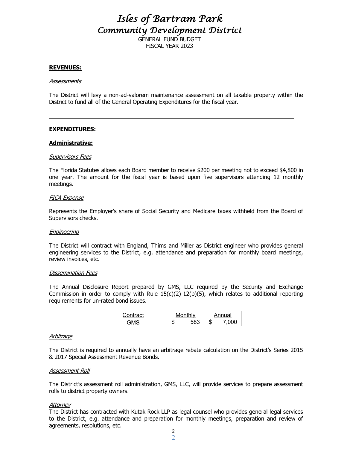### *Isles of Bartram Park Community Development District*  GENERAL FUND BUDGET

FISCAL YEAR 2023

#### **REVENUES:**

#### **Assessments**

The District will levy a non-ad-valorem maintenance assessment on all taxable property within the District to fund all of the General Operating Expenditures for the fiscal year.

#### **EXPENDITURES:**

#### **Administrative:**

#### Supervisors Fees

The Florida Statutes allows each Board member to receive \$200 per meeting not to exceed \$4,800 in one year. The amount for the fiscal year is based upon five supervisors attending 12 monthly meetings.

#### FICA Expense

Represents the Employer's share of Social Security and Medicare taxes withheld from the Board of Supervisors checks.

#### Engineering

The District will contract with England, Thims and Miller as District engineer who provides general engineering services to the District, e.g. attendance and preparation for monthly board meetings, review invoices, etc.

#### Dissemination Fees

The Annual Disclosure Report prepared by GMS, LLC required by the Security and Exchange Commission in order to comply with Rule  $15(c)(2)-12(b)(5)$ , which relates to additional reporting requirements for un-rated bond issues.

| Contract   |    | Monthly    |   | Annual |
|------------|----|------------|---|--------|
| <b>AMS</b> | ۰D | <b>ER?</b> | Œ |        |

#### **Arbitrage**

The District is required to annually have an arbitrage rebate calculation on the District's Series 2015 & 2017 Special Assessment Revenue Bonds.

#### Assessment Roll

The District's assessment roll administration, GMS, LLC, will provide services to prepare assessment rolls to district property owners.

#### **Attorney**

The District has contracted with Kutak Rock LLP as legal counsel who provides general legal services to the District, e.g. attendance and preparation for monthly meetings, preparation and review of agreements, resolutions, etc. 2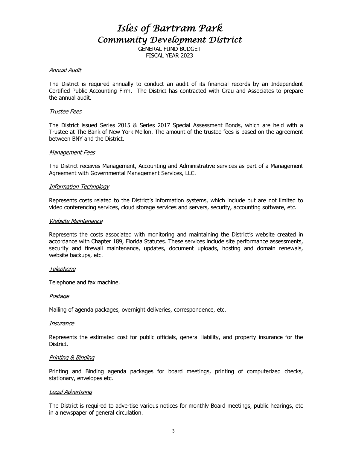# *Isles of Bartram Park Community Development District*

GENERAL FUND BUDGET FISCAL YEAR 2023

#### Annual Audit

The District is required annually to conduct an audit of its financial records by an Independent Certified Public Accounting Firm. The District has contracted with Grau and Associates to prepare the annual audit.

#### Trustee Fees

The District issued Series 2015 & Series 2017 Special Assessment Bonds, which are held with a Trustee at The Bank of New York Mellon. The amount of the trustee fees is based on the agreement between BNY and the District.

#### Management Fees

The District receives Management, Accounting and Administrative services as part of a Management Agreement with Governmental Management Services, LLC.

#### Information Technology

Represents costs related to the District's information systems, which include but are not limited to video conferencing services, cloud storage services and servers, security, accounting software, etc.

#### Website Maintenance

Represents the costs associated with monitoring and maintaining the District's website created in accordance with Chapter 189, Florida Statutes. These services include site performance assessments, security and firewall maintenance, updates, document uploads, hosting and domain renewals, website backups, etc.

#### Telephone

Telephone and fax machine.

#### Postage

Mailing of agenda packages, overnight deliveries, correspondence, etc.

#### **Insurance**

Represents the estimated cost for public officials, general liability, and property insurance for the District.

#### Printing & Binding

Printing and Binding agenda packages for board meetings, printing of computerized checks, stationary, envelopes etc.

#### Legal Advertising

The District is required to advertise various notices for monthly Board meetings, public hearings, etc in a newspaper of general circulation.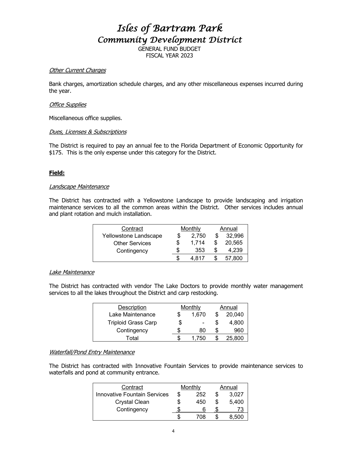*Isles of Bartram Park Community Development District* 

> GENERAL FUND BUDGET FISCAL YEAR 2023

#### Other Current Charges

Bank charges, amortization schedule charges, and any other miscellaneous expenses incurred during the year.

#### Office Supplies

Miscellaneous office supplies.

#### Dues, Licenses & Subscriptions

The District is required to pay an annual fee to the Florida Department of Economic Opportunity for \$175. This is the only expense under this category for the District.

#### **Field:**

#### Landscape Maintenance

The District has contracted with a Yellowstone Landscape to provide landscaping and irrigation maintenance services to all the common areas within the District. Other services includes annual and plant rotation and mulch installation.

| Contract              | Monthly |       |   | Annual |
|-----------------------|---------|-------|---|--------|
| Yellowstone Landscape |         | 2,750 |   | 32,996 |
| <b>Other Services</b> | \$      | 1.714 | S | 20,565 |
| Contingency           | \$      | 353   |   | 4.239  |
|                       | \$      | 4 817 |   | 57.800 |

#### Lake Maintenance

The District has contracted with vendor The Lake Doctors to provide monthly water management services to all the lakes throughout the District and carp restocking.

| <b>Description</b>         |    | Monthly | Annual |        |  |
|----------------------------|----|---------|--------|--------|--|
| Lake Maintenance           | S  | 1,670   |        | 20,040 |  |
| <b>Triploid Grass Carp</b> | \$ |         |        | 4,800  |  |
| Contingency                | S  | 80      | S      | 960    |  |
| Total                      |    | 1.750   |        | 25,800 |  |

### Waterfall/Pond Entry Maintenance

The District has contracted with Innovative Fountain Services to provide maintenance services to waterfalls and pond at community entrance.

| Contract                            | Monthly  |     | Annual |       |  |
|-------------------------------------|----------|-----|--------|-------|--|
| <b>Innovative Fountain Services</b> | 252<br>S |     |        | 3,027 |  |
| <b>Crystal Clean</b>                |          | 450 |        | 5,400 |  |
| Contingency                         |          |     |        |       |  |
|                                     |          | 708 |        | ~500  |  |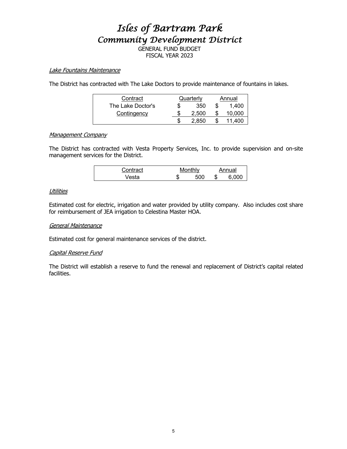# *Isles of Bartram Park Community Development District*

GENERAL FUND BUDGET FISCAL YEAR 2023

#### Lake Fountains Maintenance

The District has contracted with The Lake Doctors to provide maintenance of fountains in lakes.

| Contract          | Quarterly |  | Annual |
|-------------------|-----------|--|--------|
| The Lake Doctor's | 350       |  | 1.400  |
| Contingency       | 2.500     |  | 10,000 |
|                   | 2.850     |  | 11.400 |

#### Management Company

The District has contracted with Vesta Property Services, Inc. to provide supervision and on-site management services for the District.

| Contract |        | Monthly |    | Annual |
|----------|--------|---------|----|--------|
| ′esta    | π<br>æ | 50C     | ۰D |        |

#### **Utilities**

Estimated cost for electric, irrigation and water provided by utility company. Also includes cost share for reimbursement of JEA irrigation to Celestina Master HOA.

#### General Maintenance

Estimated cost for general maintenance services of the district.

#### Capital Reserve Fund

The District will establish a reserve to fund the renewal and replacement of District's capital related facilities.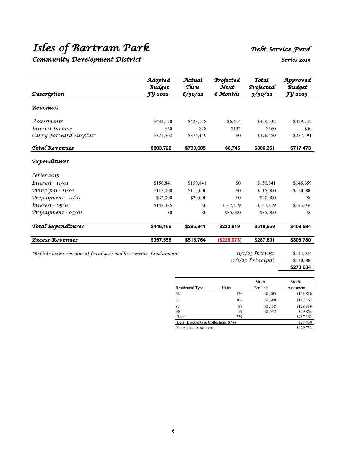# *Isles of Bartram Park Debt Service Fund*

### *Community Development District Series 2015*

|                        | Adopted<br><b>Budget</b> | Actual<br>Thru | Projected<br>$\mathcal{N}$ ext | Total<br>Projected | Approved<br><b>Budget</b> |
|------------------------|--------------------------|----------------|--------------------------------|--------------------|---------------------------|
| Descríptíon            | <b>FY 2022</b>           | 6/30/22        | 6 Months                       | 9/30/22            | FY 2023                   |
| Revenues               |                          |                |                                |                    |                           |
| <i>Assessments</i>     | \$432,170                | \$423,118      | \$6,614                        | \$429,732          | \$429,732                 |
| Interest Income        | \$50                     | \$28           | \$132                          | \$160              | \$50                      |
| Carry Forward Surplus* | \$371,502                | \$376,459      | \$0                            | \$376,459          | \$287,691                 |
| <b>Total Revenues</b>  | \$803,722                | \$799,605      | \$6,746                        | \$806,351          | \$717,473                 |
| Expenditures           |                          |                |                                |                    |                           |
| <u>Seríes 2015</u>     |                          |                |                                |                    |                           |
| $Interest - 11/01$     | \$150,841                | \$150,841      | \$0                            | \$150,841          | \$145,659                 |
| $Principal - 11/01$    | \$115,000                | \$115,000      | \$0                            | \$115,000          | \$120,000                 |
| Prepayment - 11/01     | \$32,000                 | \$20,000       | \$0                            | \$20,000           | \$0                       |
| Interest - $05/01$     | \$148,325                | \$0            | \$147,819                      | \$147,819          | \$143,034                 |
| Prepayment - 05/01     | \$0                      | \$0            | \$85,000                       | \$85,000           | \$0                       |
| Total Expenditures     | \$446,166                | \$285,841      | \$232,819                      | \$518,659          | \$408,694                 |
| <b>Excess Revenues</b> | \$357,556                | \$513,764      | (\$226,073)                    | \$287,691          | \$308.780                 |

*\*Reflects excess revenue at fiscal year end less reserve fund amount 11/1/23 Interest* \$143,034

*11/1/23 Principal* \$130,000

### **\$273,034**

|                                       |       | Gross    | Gross     |
|---------------------------------------|-------|----------|-----------|
| Residential Type                      | Units | Per Unit | Assesment |
| 68'                                   | 126   | \$1,205  | \$151,816 |
| 73'                                   | 106   | \$1,388  | \$147,163 |
| 83'                                   | 88    | \$1,458  | \$128,319 |
| 90'                                   | 19    | \$1,572  | \$29,864  |
| Total                                 | 339   |          | \$457,162 |
| Less: Discounts & Collections $(6\%)$ |       |          | \$27,430  |
| Net Annual Assesment                  |       |          | \$429,732 |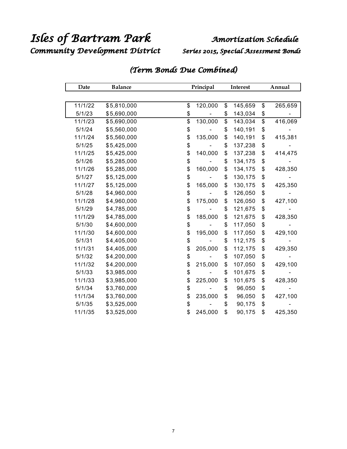Community Development District Series 2015, Special Assessment Bonds

| Date    | <b>Balance</b> | Principal     |    | Interest |    | Annual  |
|---------|----------------|---------------|----|----------|----|---------|
|         |                |               |    |          |    |         |
| 11/1/22 | \$5,810,000    | \$<br>120,000 | \$ | 145,659  | \$ | 265,659 |
| 5/1/23  | \$5,690,000    | \$            | \$ | 143,034  | \$ |         |
| 11/1/23 | \$5,690,000    | \$<br>130,000 | \$ | 143,034  | \$ | 416,069 |
| 5/1/24  | \$5,560,000    | \$            | \$ | 140,191  | \$ |         |
| 11/1/24 | \$5,560,000    | \$<br>135,000 | \$ | 140,191  | \$ | 415,381 |
| 5/1/25  | \$5,425,000    | \$            | \$ | 137,238  | \$ |         |
| 11/1/25 | \$5,425,000    | \$<br>140,000 | \$ | 137,238  | \$ | 414,475 |
| 5/1/26  | \$5,285,000    | \$            | \$ | 134,175  | \$ |         |
| 11/1/26 | \$5,285,000    | \$<br>160,000 | \$ | 134,175  | \$ | 428,350 |
| 5/1/27  | \$5,125,000    | \$            | \$ | 130,175  | \$ |         |
| 11/1/27 | \$5,125,000    | \$<br>165,000 | \$ | 130,175  | \$ | 425,350 |
| 5/1/28  | \$4,960,000    | \$            | \$ | 126,050  | \$ |         |
| 11/1/28 | \$4,960,000    | \$<br>175,000 | \$ | 126,050  | \$ | 427,100 |
| 5/1/29  | \$4,785,000    | \$            | \$ | 121,675  | \$ |         |
| 11/1/29 | \$4,785,000    | \$<br>185,000 | \$ | 121,675  | \$ | 428,350 |
| 5/1/30  | \$4,600,000    | \$            | \$ | 117,050  | \$ |         |
| 11/1/30 | \$4,600,000    | \$<br>195,000 | \$ | 117,050  | \$ | 429,100 |
| 5/1/31  | \$4,405,000    | \$            | \$ | 112,175  | \$ |         |
| 11/1/31 | \$4,405,000    | \$<br>205,000 | \$ | 112,175  | \$ | 429,350 |
| 5/1/32  | \$4,200,000    | \$            | \$ | 107,050  | \$ |         |
| 11/1/32 | \$4,200,000    | \$<br>215,000 | \$ | 107,050  | \$ | 429,100 |
| 5/1/33  | \$3,985,000    | \$            | \$ | 101,675  | \$ |         |
| 11/1/33 | \$3,985,000    | \$<br>225,000 | \$ | 101,675  | \$ | 428,350 |
| 5/1/34  | \$3,760,000    | \$            | \$ | 96,050   | \$ |         |
| 11/1/34 | \$3,760,000    | \$<br>235,000 | \$ | 96,050   | \$ | 427,100 |
| 5/1/35  | \$3,525,000    | \$            | \$ | 90,175   | \$ |         |
| 11/1/35 | \$3,525,000    | \$<br>245,000 | \$ | 90,175   | \$ | 425,350 |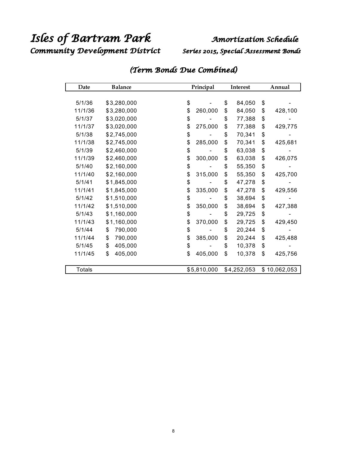Community Development District Series 2015, Special Assessment Bonds

| Date          | <b>Balance</b> | Principal<br>Interest |    | Annual      |    |              |
|---------------|----------------|-----------------------|----|-------------|----|--------------|
|               |                |                       |    |             |    |              |
| 5/1/36        | \$3,280,000    | \$                    | \$ | 84,050      | \$ |              |
| 11/1/36       | \$3,280,000    | \$<br>260,000         | \$ | 84,050      | \$ | 428,100      |
| 5/1/37        | \$3,020,000    | \$                    | \$ | 77,388      | \$ |              |
| 11/1/37       | \$3,020,000    | \$<br>275,000         | \$ | 77,388      | \$ | 429,775      |
| 5/1/38        | \$2,745,000    | \$                    | \$ | 70,341      | \$ |              |
| 11/1/38       | \$2,745,000    | \$<br>285,000         | \$ | 70,341      | \$ | 425,681      |
| 5/1/39        | \$2,460,000    | \$                    | \$ | 63,038      | \$ |              |
| 11/1/39       | \$2,460,000    | \$<br>300,000         | \$ | 63,038      | \$ | 426,075      |
| 5/1/40        | \$2,160,000    | \$                    | \$ | 55,350      | \$ |              |
| 11/1/40       | \$2,160,000    | \$<br>315,000         | \$ | 55,350      | \$ | 425,700      |
| 5/1/41        | \$1,845,000    | \$                    | \$ | 47,278      | \$ |              |
| 11/1/41       | \$1,845,000    | \$<br>335,000         | \$ | 47,278      | \$ | 429,556      |
| 5/1/42        | \$1,510,000    | \$                    | \$ | 38,694      | \$ |              |
| 11/1/42       | \$1,510,000    | \$<br>350,000         | \$ | 38,694      | \$ | 427,388      |
| 5/1/43        | \$1,160,000    | \$                    | \$ | 29,725      | \$ |              |
| 11/1/43       | \$1,160,000    | \$<br>370,000         | \$ | 29,725      | \$ | 429,450      |
| 5/1/44        | \$<br>790,000  | \$                    | \$ | 20,244      | \$ |              |
| 11/1/44       | \$<br>790,000  | \$<br>385,000         | \$ | 20,244      | \$ | 425,488      |
| 5/1/45        | \$<br>405,000  | \$                    | \$ | 10,378      | \$ |              |
| 11/1/45       | \$<br>405,000  | \$<br>405,000         | \$ | 10,378      | \$ | 425,756      |
|               |                |                       |    |             |    |              |
| <b>Totals</b> |                | \$5,810,000           |    | \$4,252,053 |    | \$10,062,053 |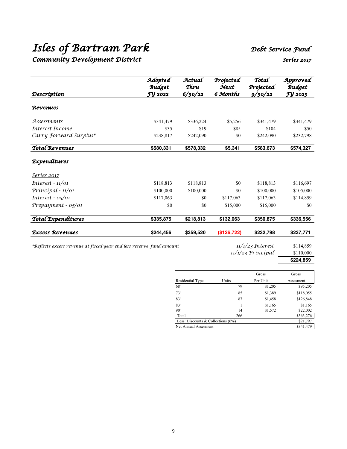# *Isles of Bartram Park Debt Service Fund*

## *Community Development District Series 2017*

|                        | Adopted<br><b>Budget</b> | Actual<br>Thru | Projected<br>$\mathcal{N}$ ext | Total<br>Projected | Approved<br><b>Budget</b> |
|------------------------|--------------------------|----------------|--------------------------------|--------------------|---------------------------|
| Descríptíon            | FY 2022                  | 6/30/22        | 6 Months                       | 9/30/22            | FY 2023                   |
| Revenues               |                          |                |                                |                    |                           |
| Assessments            | \$341,479                | \$336,224      | \$5,256                        | \$341,479          | \$341,479                 |
| Interest Income        | \$35                     | \$19           | \$85                           | \$104              | \$50                      |
| Carry Forward Surplus* | \$238,817                | \$242,090      | \$0                            | \$242,090          | \$232,798                 |
| <b>Total Revenues</b>  | \$580,331                | \$578,332      | \$5,341                        | \$583,673          | \$574,327                 |
| <i>Expenditures</i>    |                          |                |                                |                    |                           |
| <u>Seríes 2017</u>     |                          |                |                                |                    |                           |
| $Interest - 11/01$     | \$118,813                | \$118,813      | \$0                            | \$118,813          | \$116,697                 |
| Principal - 11/01      | \$100,000                | \$100,000      | \$0                            | \$100,000          | \$105,000                 |
| Interest $-05/01$      | \$117,063                | \$0            | \$117,063                      | \$117,063          | \$114,859                 |
| $Prepayment - 05/01$   | \$0                      | \$0            | \$15,000                       | \$15,000           | \$0                       |
| Total Expenditures     | \$335,875                | \$218,813      | \$132,063                      | \$350,875          | \$336,556                 |
| <b>Excess Revenues</b> | \$244,456                | \$359,520      | (\$126,722)                    | \$232,798          | \$237,771                 |

*\*Reflects excess revenue at fiscal year end less reserve fund amount 11/1/23 Interest* \$114,859

*11/1/23 Principal* \$110,000 **\$224,859**

|                                       |       | Gross    | Gross     |  |  |
|---------------------------------------|-------|----------|-----------|--|--|
| Residential Type                      | Units | Per Unit | Assesment |  |  |
| 68'                                   | 79    | \$1,205  | \$95,205  |  |  |
| 73'                                   | 85    | \$1,389  | \$118,055 |  |  |
| 83'                                   | 87    | \$1,458  | \$126,848 |  |  |
| 83'                                   |       | \$1,165  | \$1,165   |  |  |
| 90'                                   | 14    | \$1,572  | \$22,002  |  |  |
| Total                                 | 266   |          | \$363,276 |  |  |
| Less: Discounts & Collections $(6\%)$ |       |          | \$21,797  |  |  |
| Net Annual Assesment                  |       |          | \$341,479 |  |  |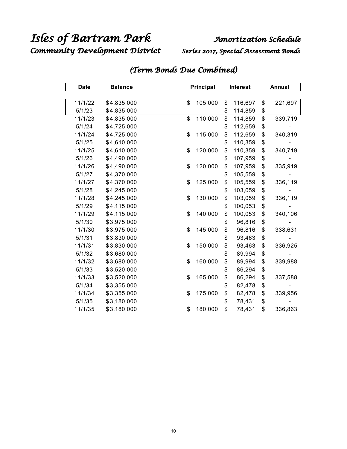*Community Development District Series 2017, Special Assessment Bonds* 

| <b>Date</b> | <b>Balance</b> | Principal     |    | <b>Interest</b> |                           | Annual  |  |
|-------------|----------------|---------------|----|-----------------|---------------------------|---------|--|
|             |                |               |    |                 |                           |         |  |
| 11/1/22     | \$4,835,000    | \$<br>105,000 | \$ | 116,697         | \$                        | 221,697 |  |
| 5/1/23      | \$4,835,000    |               | \$ | 114,859         | \$                        |         |  |
| 11/1/23     | \$4,835,000    | \$<br>110,000 | \$ | 114,859         | $\overline{\mathfrak{s}}$ | 339,719 |  |
| 5/1/24      | \$4,725,000    |               | \$ | 112,659         | \$                        |         |  |
| 11/1/24     | \$4,725,000    | \$<br>115,000 | \$ | 112,659         | \$                        | 340,319 |  |
| 5/1/25      | \$4,610,000    |               | \$ | 110,359         | \$                        |         |  |
| 11/1/25     | \$4,610,000    | \$<br>120,000 | \$ | 110,359         | \$                        | 340,719 |  |
| 5/1/26      | \$4,490,000    |               | \$ | 107,959         | \$                        |         |  |
| 11/1/26     | \$4,490,000    | \$<br>120,000 | \$ | 107,959         | \$                        | 335,919 |  |
| 5/1/27      | \$4,370,000    |               | \$ | 105,559         | \$                        |         |  |
| 11/1/27     | \$4,370,000    | \$<br>125,000 | \$ | 105,559         | \$                        | 336,119 |  |
| 5/1/28      | \$4,245,000    |               | \$ | 103,059         | \$                        |         |  |
| 11/1/28     | \$4,245,000    | \$<br>130,000 | \$ | 103,059         | \$                        | 336,119 |  |
| 5/1/29      | \$4,115,000    |               | \$ | 100,053         | \$                        |         |  |
| 11/1/29     | \$4,115,000    | \$<br>140,000 | \$ | 100,053         | \$                        | 340,106 |  |
| 5/1/30      | \$3,975,000    |               | \$ | 96,816          | \$                        |         |  |
| 11/1/30     | \$3,975,000    | \$<br>145,000 | \$ | 96,816          | \$                        | 338,631 |  |
| 5/1/31      | \$3,830,000    |               | \$ | 93,463          | \$                        |         |  |
| 11/1/31     | \$3,830,000    | \$<br>150,000 | \$ | 93,463          | \$                        | 336,925 |  |
| 5/1/32      | \$3,680,000    |               | \$ | 89,994          | \$                        |         |  |
| 11/1/32     | \$3,680,000    | \$<br>160,000 | \$ | 89,994          | \$                        | 339,988 |  |
| 5/1/33      | \$3,520,000    |               | \$ | 86,294          | \$                        |         |  |
| 11/1/33     | \$3,520,000    | \$<br>165,000 | \$ | 86,294          | \$                        | 337,588 |  |
| 5/1/34      | \$3,355,000    |               | \$ | 82,478          | \$                        |         |  |
| 11/1/34     | \$3,355,000    | \$<br>175,000 | \$ | 82,478          | \$                        | 339,956 |  |
| 5/1/35      | \$3,180,000    |               | \$ | 78,431          | \$                        |         |  |
| 11/1/35     | \$3,180,000    | \$<br>180,000 | \$ | 78,431          | \$                        | 336,863 |  |